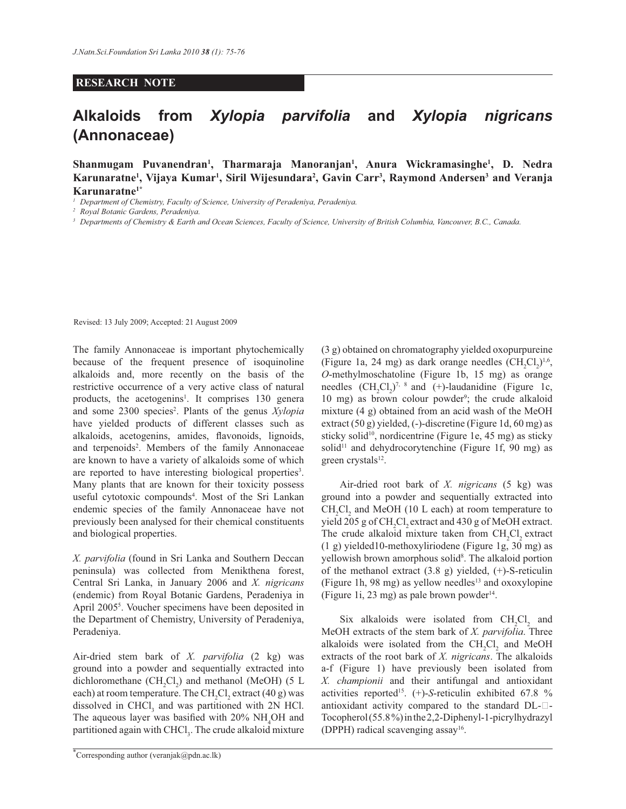## **RESEARCH NOTE**

## **Alkaloids from** *Xylopia parvifolia* **and** *Xylopia nigricans*  **(Annonaceae)**

**Shanmugam Puvanendran<sup>1</sup> , Tharmaraja Manoranjan<sup>1</sup> , Anura Wickramasinghe<sup>1</sup> , D. Nedra Karunaratne<sup>1</sup> , Vijaya Kumar<sup>1</sup> , Siril Wijesundara<sup>2</sup> , Gavin Carr<sup>3</sup> , Raymond Andersen<sup>3</sup> and Veranja Karunaratne1\***

*<sup>1</sup>Department of Chemistry, Faculty of Science, University of Peradeniya, Peradeniya.*

*<sup>2</sup>Royal Botanic Gardens, Peradeniya.*

*<sup>3</sup>Departments of Chemistry & Earth and Ocean Sciences, Faculty of Science, University of British Columbia, Vancouver, B.C., Canada.*

Revised: 13 July 2009; Accepted: 21 August 2009

The family Annonaceae is important phytochemically because of the frequent presence of isoquinoline alkaloids and, more recently on the basis of the restrictive occurrence of a very active class of natural products, the acetogenins<sup>1</sup>. It comprises 130 genera and some 2300 species<sup>2</sup>. Plants of the genus *Xylopia* have yielded products of different classes such as alkaloids, acetogenins, amides, flavonoids, lignoids, and terpenoids<sup>2</sup>. Members of the family Annonaceae are known to have a variety of alkaloids some of which are reported to have interesting biological properties<sup>3</sup>. Many plants that are known for their toxicity possess useful cytotoxic compounds<sup>4</sup>. Most of the Sri Lankan endemic species of the family Annonaceae have not previously been analysed for their chemical constituents and biological properties.

*X. parvifolia* (found in Sri Lanka and Southern Deccan peninsula) was collected from Menikthena forest, Central Sri Lanka, in January 2006 and *X. nigricans* (endemic) from Royal Botanic Gardens, Peradeniya in April 2005<sup>5</sup> . Voucher specimens have been deposited in the Department of Chemistry, University of Peradeniya, Peradeniya.

Air-dried stem bark of *X. parvifolia* (2 kg) was ground into a powder and sequentially extracted into dichloromethane  $(CH_2Cl_2)$  and methanol (MeOH) (5 L each) at room temperature. The  $\mathrm{CH}_2\mathrm{Cl}_2$  extract (40 g) was dissolved in  $CHCl<sub>3</sub>$  and was partitioned with 2N HCl. The aqueous layer was basified with  $20\%$  NH<sub>4</sub>OH and partitioned again with CHCl<sub>3</sub>. The crude alkaloid mixture

\*Corresponding author (veranjak@pdn.ac.lk)

(3 g) obtained on chromatography yielded oxopurpureine (Figure 1a, 24 mg) as dark orange needles  $(CH_2Cl_2)^{1,6}$ , *O*-methylmoschatoline (Figure 1b, 15 mg) as orange needles  $(CH_2Cl_2)^{7, 8}$  and (+)-laudanidine (Figure 1c, 10 mg) as brown colour powder<sup>9</sup>; the crude alkaloid mixture (4 g) obtained from an acid wash of the MeOH extract (50 g) yielded, (-)-discretine (Figure 1d, 60 mg) as sticky solid<sup>10</sup>, nordicentrine (Figure 1e, 45 mg) as sticky solid<sup>11</sup> and dehydrocorytenchine (Figure 1f, 90 mg) as green crystals<sup>12</sup>.

 Air-dried root bark of *X. nigricans* (5 kg) was ground into a powder and sequentially extracted into  $CH_2Cl_2$  and MeOH (10 L each) at room temperature to yield 205 g of CH<sub>2</sub>Cl<sub>2</sub> extract and 430 g of MeOH extract. The crude alkaloid mixture taken from CH<sub>2</sub>Cl<sub>2</sub> extract (1 g) yielded10-methoxyliriodene (Figure 1g, 30 mg) as yellowish brown amorphous solid<sup>8</sup>. The alkaloid portion of the methanol extract (3.8 g) yielded, (+)-S-reticulin (Figure 1h, 98 mg) as yellow needles $13$  and oxoxylopine (Figure 1i, 23 mg) as pale brown powder $14$ .

Six alkaloids were isolated from  $CH_2Cl_2$  and MeOH extracts of the stem bark of *X. parvifolia*. Three alkaloids were isolated from the  $CH_2Cl_2$  and MeOH extracts of the root bark of *X. nigricans*. The alkaloids a-f (Figure 1) have previously been isolated from *X. championii* and their antifungal and antioxidant activities reported<sup>15</sup>.  $(+)$ -*S*-reticulin exhibited 67.8 % antioxidant activity compared to the standard  $DL$ - $\Box$ -Tocopherol (55.8 %) in the 2,2-Diphenyl-1-picrylhydrazyl (DPPH) radical scavenging assay<sup>16</sup>.